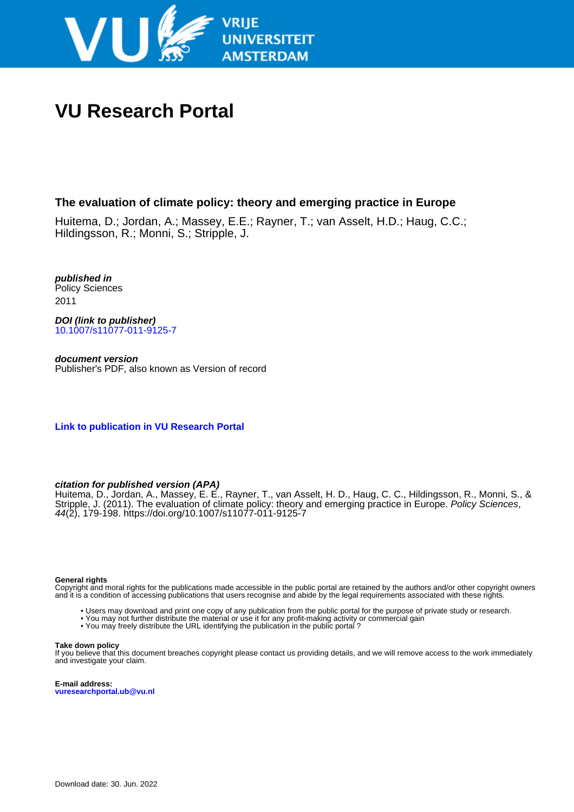

# **VU Research Portal**

# **The evaluation of climate policy: theory and emerging practice in Europe**

Huitema, D.; Jordan, A.; Massey, E.E.; Rayner, T.; van Asselt, H.D.; Haug, C.C.; Hildingsson, R.; Monni, S.; Stripple, J.

**published in** Policy Sciences 2011

**DOI (link to publisher)** [10.1007/s11077-011-9125-7](https://doi.org/10.1007/s11077-011-9125-7)

**document version** Publisher's PDF, also known as Version of record

**[Link to publication in VU Research Portal](https://research.vu.nl/en/publications/705bfc7c-b722-49ec-91b0-c96a92dcf362)**

# **citation for published version (APA)**

Huitema, D., Jordan, A., Massey, E. E., Rayner, T., van Asselt, H. D., Haug, C. C., Hildingsson, R., Monni, S., & Stripple, J. (2011). The evaluation of climate policy: theory and emerging practice in Europe. Policy Sciences, 44(2), 179-198.<https://doi.org/10.1007/s11077-011-9125-7>

# **General rights**

Copyright and moral rights for the publications made accessible in the public portal are retained by the authors and/or other copyright owners and it is a condition of accessing publications that users recognise and abide by the legal requirements associated with these rights.

- Users may download and print one copy of any publication from the public portal for the purpose of private study or research.
- You may not further distribute the material or use it for any profit-making activity or commercial gain
- You may freely distribute the URL identifying the publication in the public portal ?

# **Take down policy**

If you believe that this document breaches copyright please contact us providing details, and we will remove access to the work immediately and investigate your claim.

**E-mail address: vuresearchportal.ub@vu.nl**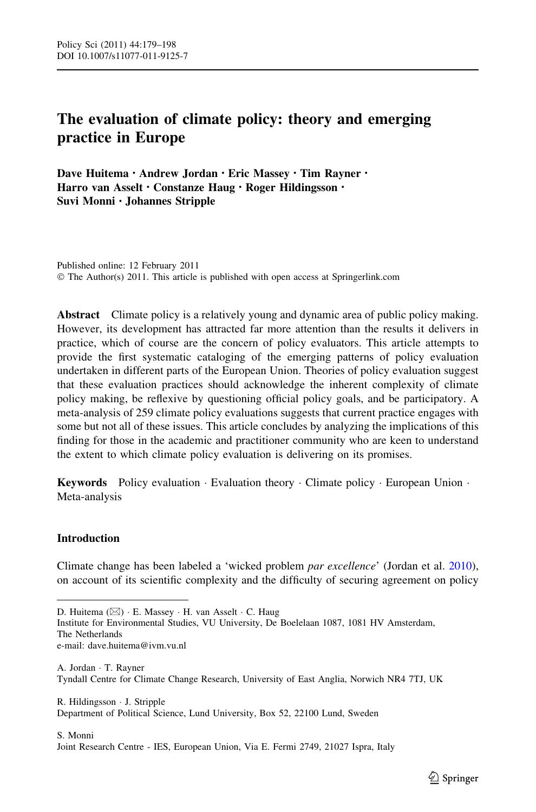# The evaluation of climate policy: theory and emerging practice in Europe

Dave Huitema • Andrew Jordan • Eric Massey • Tim Rayner • Harro van Asselt • Constanze Haug • Roger Hildingsson • Suvi Monni • Johannes Stripple

Published online: 12 February 2011 © The Author(s) 2011. This article is published with open access at Springerlink.com

Abstract Climate policy is a relatively young and dynamic area of public policy making. However, its development has attracted far more attention than the results it delivers in practice, which of course are the concern of policy evaluators. This article attempts to provide the first systematic cataloging of the emerging patterns of policy evaluation undertaken in different parts of the European Union. Theories of policy evaluation suggest that these evaluation practices should acknowledge the inherent complexity of climate policy making, be reflexive by questioning official policy goals, and be participatory. A meta-analysis of 259 climate policy evaluations suggests that current practice engages with some but not all of these issues. This article concludes by analyzing the implications of this finding for those in the academic and practitioner community who are keen to understand the extent to which climate policy evaluation is delivering on its promises.

Keywords Policy evaluation · Evaluation theory · Climate policy · European Union · Meta-analysis

# Introduction

Climate change has been labeled a 'wicked problem par excellence' (Jordan et al. [2010](#page-19-0)), on account of its scientific complexity and the difficulty of securing agreement on policy

D. Huitema (⊠) · E. Massey · H. van Asselt · C. Haug

Institute for Environmental Studies, VU University, De Boelelaan 1087, 1081 HV Amsterdam, The Netherlands e-mail: dave.huitema@ivm.vu.nl

A. Jordan - T. Rayner Tyndall Centre for Climate Change Research, University of East Anglia, Norwich NR4 7TJ, UK

R. Hildingsson - J. Stripple Department of Political Science, Lund University, Box 52, 22100 Lund, Sweden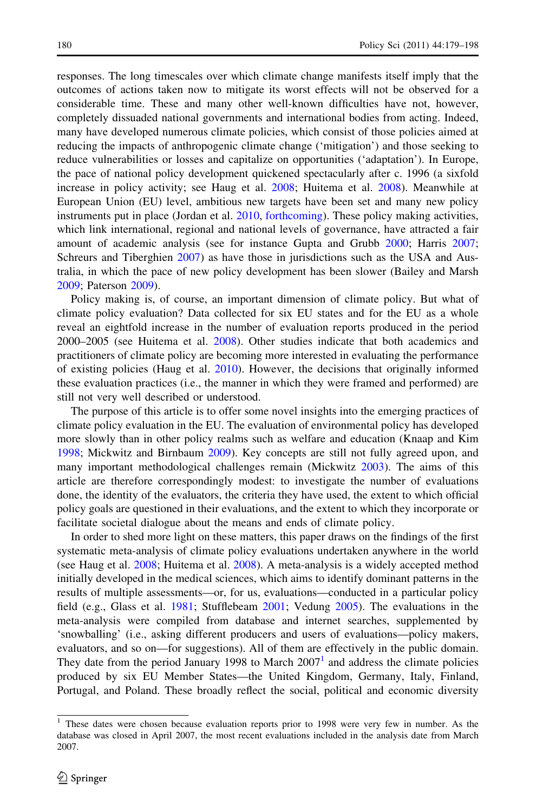responses. The long timescales over which climate change manifests itself imply that the outcomes of actions taken now to mitigate its worst effects will not be observed for a considerable time. These and many other well-known difficulties have not, however, completely dissuaded national governments and international bodies from acting. Indeed, many have developed numerous climate policies, which consist of those policies aimed at reducing the impacts of anthropogenic climate change ('mitigation') and those seeking to reduce vulnerabilities or losses and capitalize on opportunities ('adaptation'). In Europe, the pace of national policy development quickened spectacularly after c. 1996 (a sixfold increase in policy activity; see Haug et al. [2008;](#page-18-0) Huitema et al. [2008](#page-19-0)). Meanwhile at European Union (EU) level, ambitious new targets have been set and many new policy instruments put in place (Jordan et al. [2010,](#page-19-0) [forthcoming\)](#page-19-0). These policy making activities, which link international, regional and national levels of governance, have attracted a fair amount of academic analysis (see for instance Gupta and Grubb [2000](#page-18-0); Harris [2007;](#page-18-0) Schreurs and Tiberghien [2007](#page-20-0)) as have those in jurisdictions such as the USA and Australia, in which the pace of new policy development has been slower (Bailey and Marsh [2009;](#page-18-0) Paterson [2009](#page-19-0)).

Policy making is, of course, an important dimension of climate policy. But what of climate policy evaluation? Data collected for six EU states and for the EU as a whole reveal an eightfold increase in the number of evaluation reports produced in the period 2000–2005 (see Huitema et al. [2008](#page-19-0)). Other studies indicate that both academics and practitioners of climate policy are becoming more interested in evaluating the performance of existing policies (Haug et al. [2010](#page-18-0)). However, the decisions that originally informed these evaluation practices (i.e., the manner in which they were framed and performed) are still not very well described or understood.

The purpose of this article is to offer some novel insights into the emerging practices of climate policy evaluation in the EU. The evaluation of environmental policy has developed more slowly than in other policy realms such as welfare and education (Knaap and Kim [1998;](#page-19-0) Mickwitz and Birnbaum [2009\)](#page-19-0). Key concepts are still not fully agreed upon, and many important methodological challenges remain (Mickwitz [2003](#page-19-0)). The aims of this article are therefore correspondingly modest: to investigate the number of evaluations done, the identity of the evaluators, the criteria they have used, the extent to which official policy goals are questioned in their evaluations, and the extent to which they incorporate or facilitate societal dialogue about the means and ends of climate policy.

In order to shed more light on these matters, this paper draws on the findings of the first systematic meta-analysis of climate policy evaluations undertaken anywhere in the world (see Haug et al. [2008;](#page-18-0) Huitema et al. [2008](#page-19-0)). A meta-analysis is a widely accepted method initially developed in the medical sciences, which aims to identify dominant patterns in the results of multiple assessments—or, for us, evaluations—conducted in a particular policy field (e.g., Glass et al. [1981;](#page-18-0) Stufflebeam [2001](#page-20-0); Vedung [2005\)](#page-20-0). The evaluations in the meta-analysis were compiled from database and internet searches, supplemented by 'snowballing' (i.e., asking different producers and users of evaluations—policy makers, evaluators, and so on—for suggestions). All of them are effectively in the public domain. They date from the period January 1998 to March  $2007<sup>1</sup>$  and address the climate policies produced by six EU Member States—the United Kingdom, Germany, Italy, Finland, Portugal, and Poland. These broadly reflect the social, political and economic diversity

<sup>&</sup>lt;sup>1</sup> These dates were chosen because evaluation reports prior to 1998 were very few in number. As the database was closed in April 2007, the most recent evaluations included in the analysis date from March 2007.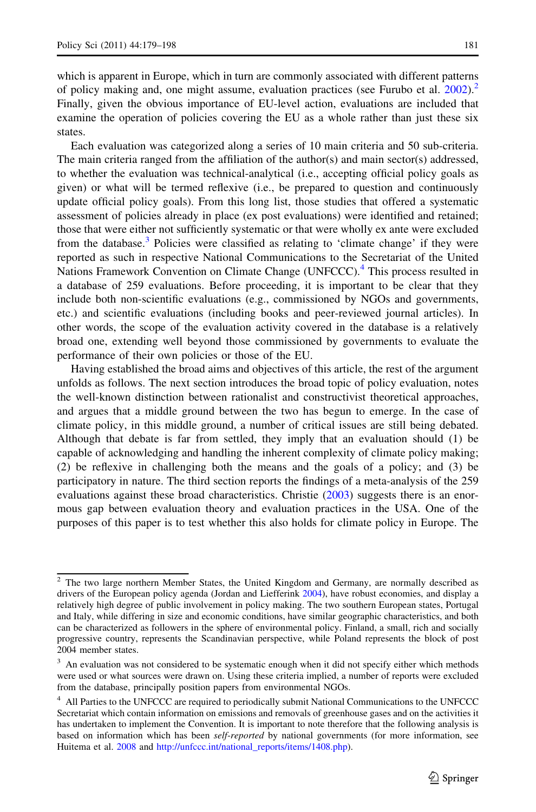which is apparent in Europe, which in turn are commonly associated with different patterns of policy making and, one might assume, evaluation practices (see Furubo et al.  $2002$ ).<sup>2</sup> Finally, given the obvious importance of EU-level action, evaluations are included that examine the operation of policies covering the EU as a whole rather than just these six states.

Each evaluation was categorized along a series of 10 main criteria and 50 sub-criteria. The main criteria ranged from the affiliation of the author(s) and main sector(s) addressed, to whether the evaluation was technical-analytical (i.e., accepting official policy goals as given) or what will be termed reflexive (i.e., be prepared to question and continuously update official policy goals). From this long list, those studies that offered a systematic assessment of policies already in place (ex post evaluations) were identified and retained; those that were either not sufficiently systematic or that were wholly ex ante were excluded from the database.<sup>3</sup> Policies were classified as relating to 'climate change' if they were reported as such in respective National Communications to the Secretariat of the United Nations Framework Convention on Climate Change (UNFCCC).<sup>4</sup> This process resulted in a database of 259 evaluations. Before proceeding, it is important to be clear that they include both non-scientific evaluations (e.g., commissioned by NGOs and governments, etc.) and scientific evaluations (including books and peer-reviewed journal articles). In other words, the scope of the evaluation activity covered in the database is a relatively broad one, extending well beyond those commissioned by governments to evaluate the performance of their own policies or those of the EU.

Having established the broad aims and objectives of this article, the rest of the argument unfolds as follows. The next section introduces the broad topic of policy evaluation, notes the well-known distinction between rationalist and constructivist theoretical approaches, and argues that a middle ground between the two has begun to emerge. In the case of climate policy, in this middle ground, a number of critical issues are still being debated. Although that debate is far from settled, they imply that an evaluation should (1) be capable of acknowledging and handling the inherent complexity of climate policy making; (2) be reflexive in challenging both the means and the goals of a policy; and (3) be participatory in nature. The third section reports the findings of a meta-analysis of the 259 evaluations against these broad characteristics. Christie ([2003\)](#page-18-0) suggests there is an enormous gap between evaluation theory and evaluation practices in the USA. One of the purposes of this paper is to test whether this also holds for climate policy in Europe. The

<sup>&</sup>lt;sup>2</sup> The two large northern Member States, the United Kingdom and Germany, are normally described as drivers of the European policy agenda (Jordan and Liefferink [2004](#page-19-0)), have robust economies, and display a relatively high degree of public involvement in policy making. The two southern European states, Portugal and Italy, while differing in size and economic conditions, have similar geographic characteristics, and both can be characterized as followers in the sphere of environmental policy. Finland, a small, rich and socially progressive country, represents the Scandinavian perspective, while Poland represents the block of post 2004 member states.

 $3$  An evaluation was not considered to be systematic enough when it did not specify either which methods were used or what sources were drawn on. Using these criteria implied, a number of reports were excluded from the database, principally position papers from environmental NGOs.

<sup>&</sup>lt;sup>4</sup> All Parties to the UNFCCC are required to periodically submit National Communications to the UNFCCC Secretariat which contain information on emissions and removals of greenhouse gases and on the activities it has undertaken to implement the Convention. It is important to note therefore that the following analysis is based on information which has been self-reported by national governments (for more information, see Huitema et al. [2008](#page-19-0) and [http://unfccc.int/national\\_reports/items/1408.php\)](http://unfccc.int/national_reports/items/1408.php).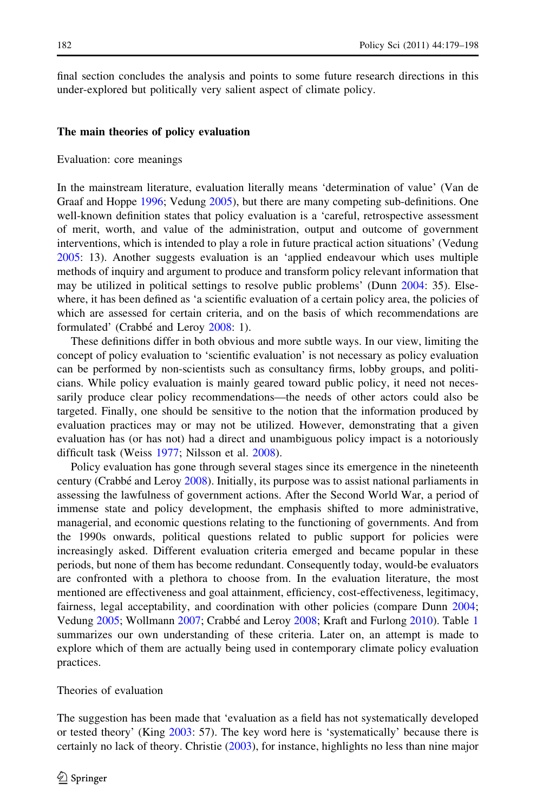<span id="page-4-0"></span>final section concludes the analysis and points to some future research directions in this under-explored but politically very salient aspect of climate policy.

#### The main theories of policy evaluation

#### Evaluation: core meanings

In the mainstream literature, evaluation literally means 'determination of value' (Van de Graaf and Hoppe [1996;](#page-20-0) Vedung [2005\)](#page-20-0), but there are many competing sub-definitions. One well-known definition states that policy evaluation is a 'careful, retrospective assessment of merit, worth, and value of the administration, output and outcome of government interventions, which is intended to play a role in future practical action situations' (Vedung [2005:](#page-20-0) 13). Another suggests evaluation is an 'applied endeavour which uses multiple methods of inquiry and argument to produce and transform policy relevant information that may be utilized in political settings to resolve public problems' (Dunn [2004](#page-18-0): 35). Elsewhere, it has been defined as 'a scientific evaluation of a certain policy area, the policies of which are assessed for certain criteria, and on the basis of which recommendations are formulated' (Crabbé and Leroy [2008](#page-18-0): 1).

These definitions differ in both obvious and more subtle ways. In our view, limiting the concept of policy evaluation to 'scientific evaluation' is not necessary as policy evaluation can be performed by non-scientists such as consultancy firms, lobby groups, and politicians. While policy evaluation is mainly geared toward public policy, it need not necessarily produce clear policy recommendations—the needs of other actors could also be targeted. Finally, one should be sensitive to the notion that the information produced by evaluation practices may or may not be utilized. However, demonstrating that a given evaluation has (or has not) had a direct and unambiguous policy impact is a notoriously difficult task (Weiss [1977;](#page-20-0) Nilsson et al. [2008](#page-19-0)).

Policy evaluation has gone through several stages since its emergence in the nineteenth century (Crabbé and Leroy [2008](#page-18-0)). Initially, its purpose was to assist national parliaments in assessing the lawfulness of government actions. After the Second World War, a period of immense state and policy development, the emphasis shifted to more administrative, managerial, and economic questions relating to the functioning of governments. And from the 1990s onwards, political questions related to public support for policies were increasingly asked. Different evaluation criteria emerged and became popular in these periods, but none of them has become redundant. Consequently today, would-be evaluators are confronted with a plethora to choose from. In the evaluation literature, the most mentioned are effectiveness and goal attainment, efficiency, cost-effectiveness, legitimacy, fairness, legal acceptability, and coordination with other policies (compare Dunn [2004;](#page-18-0) Vedung [2005](#page-20-0); Wollmann [2007;](#page-20-0) Crabbé and Leroy [2008;](#page-18-0) Kraft and Furlong [2010](#page-19-0)). Table [1](#page-5-0) summarizes our own understanding of these criteria. Later on, an attempt is made to explore which of them are actually being used in contemporary climate policy evaluation practices.

# Theories of evaluation

The suggestion has been made that 'evaluation as a field has not systematically developed or tested theory' (King [2003:](#page-19-0) 57). The key word here is 'systematically' because there is certainly no lack of theory. Christie ([2003\)](#page-18-0), for instance, highlights no less than nine major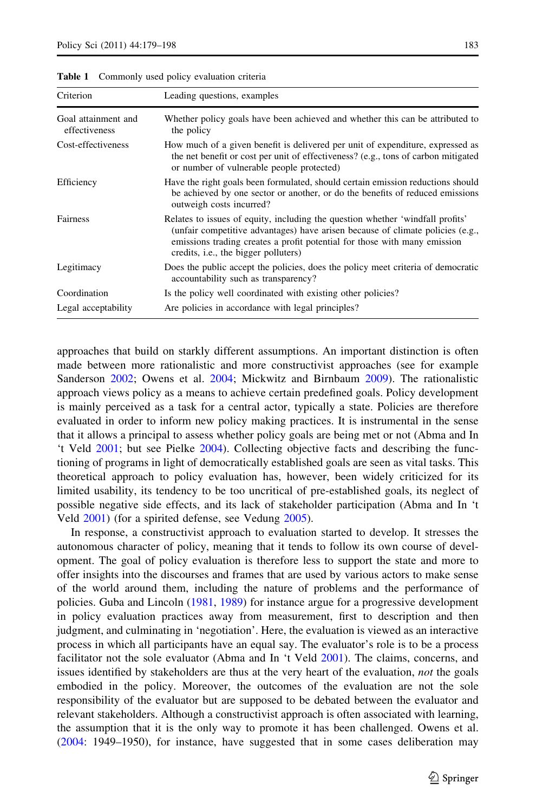| Criterion                            | Leading questions, examples                                                                                                                                                                                                                                                                   |  |
|--------------------------------------|-----------------------------------------------------------------------------------------------------------------------------------------------------------------------------------------------------------------------------------------------------------------------------------------------|--|
| Goal attainment and<br>effectiveness | Whether policy goals have been achieved and whether this can be attributed to<br>the policy                                                                                                                                                                                                   |  |
| Cost-effectiveness                   | How much of a given benefit is delivered per unit of expenditure, expressed as<br>the net benefit or cost per unit of effectiveness? (e.g., tons of carbon mitigated<br>or number of vulnerable people protected)                                                                             |  |
| Efficiency                           | Have the right goals been formulated, should certain emission reductions should<br>be achieved by one sector or another, or do the benefits of reduced emissions<br>outweigh costs incurred?                                                                                                  |  |
| Fairness                             | Relates to issues of equity, including the question whether 'windfall profits'<br>(unfair competitive advantages) have arisen because of climate policies (e.g.,<br>emissions trading creates a profit potential for those with many emission<br>credits, <i>i.e.</i> , the bigger polluters) |  |
| Legitimacy                           | Does the public accept the policies, does the policy meet criteria of democratic<br>accountability such as transparency?                                                                                                                                                                      |  |
| Coordination                         | Is the policy well coordinated with existing other policies?                                                                                                                                                                                                                                  |  |
| Legal acceptability                  | Are policies in accordance with legal principles?                                                                                                                                                                                                                                             |  |

<span id="page-5-0"></span>Table 1 Commonly used policy evaluation criteria

approaches that build on starkly different assumptions. An important distinction is often made between more rationalistic and more constructivist approaches (see for example Sanderson [2002;](#page-20-0) Owens et al. [2004](#page-19-0); Mickwitz and Birnbaum [2009\)](#page-19-0). The rationalistic approach views policy as a means to achieve certain predefined goals. Policy development is mainly perceived as a task for a central actor, typically a state. Policies are therefore evaluated in order to inform new policy making practices. It is instrumental in the sense that it allows a principal to assess whether policy goals are being met or not (Abma and In 't Veld [2001;](#page-18-0) but see Pielke [2004\)](#page-19-0). Collecting objective facts and describing the functioning of programs in light of democratically established goals are seen as vital tasks. This theoretical approach to policy evaluation has, however, been widely criticized for its limited usability, its tendency to be too uncritical of pre-established goals, its neglect of possible negative side effects, and its lack of stakeholder participation (Abma and In 't Veld [2001](#page-18-0)) (for a spirited defense, see Vedung [2005\)](#page-20-0).

In response, a constructivist approach to evaluation started to develop. It stresses the autonomous character of policy, meaning that it tends to follow its own course of development. The goal of policy evaluation is therefore less to support the state and more to offer insights into the discourses and frames that are used by various actors to make sense of the world around them, including the nature of problems and the performance of policies. Guba and Lincoln [\(1981](#page-18-0), [1989](#page-18-0)) for instance argue for a progressive development in policy evaluation practices away from measurement, first to description and then judgment, and culminating in 'negotiation'. Here, the evaluation is viewed as an interactive process in which all participants have an equal say. The evaluator's role is to be a process facilitator not the sole evaluator (Abma and In 't Veld [2001](#page-18-0)). The claims, concerns, and issues identified by stakeholders are thus at the very heart of the evaluation, not the goals embodied in the policy. Moreover, the outcomes of the evaluation are not the sole responsibility of the evaluator but are supposed to be debated between the evaluator and relevant stakeholders. Although a constructivist approach is often associated with learning, the assumption that it is the only way to promote it has been challenged. Owens et al. ([2004:](#page-19-0) 1949–1950), for instance, have suggested that in some cases deliberation may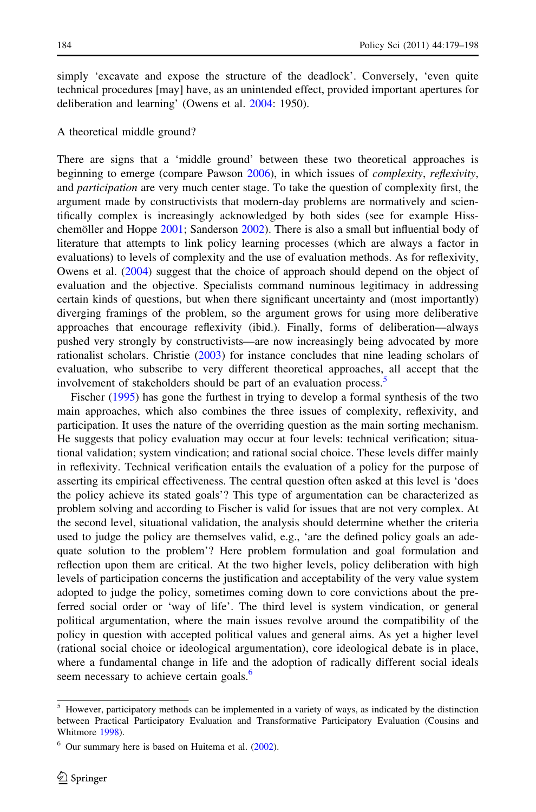simply 'excavate and expose the structure of the deadlock'. Conversely, 'even quite technical procedures [may] have, as an unintended effect, provided important apertures for deliberation and learning' (Owens et al. [2004:](#page-19-0) 1950).

## A theoretical middle ground?

There are signs that a 'middle ground' between these two theoretical approaches is beginning to emerge (compare Pawson [2006\)](#page-19-0), in which issues of *complexity*, *reflexivity*, and *participation* are very much center stage. To take the question of complexity first, the argument made by constructivists that modern-day problems are normatively and scientifically complex is increasingly acknowledged by both sides (see for example Hiss-chemöller and Hoppe [2001;](#page-18-0) Sanderson [2002](#page-20-0)). There is also a small but influential body of literature that attempts to link policy learning processes (which are always a factor in evaluations) to levels of complexity and the use of evaluation methods. As for reflexivity, Owens et al. ([2004\)](#page-19-0) suggest that the choice of approach should depend on the object of evaluation and the objective. Specialists command numinous legitimacy in addressing certain kinds of questions, but when there significant uncertainty and (most importantly) diverging framings of the problem, so the argument grows for using more deliberative approaches that encourage reflexivity (ibid.). Finally, forms of deliberation—always pushed very strongly by constructivists—are now increasingly being advocated by more rationalist scholars. Christie ([2003\)](#page-18-0) for instance concludes that nine leading scholars of evaluation, who subscribe to very different theoretical approaches, all accept that the involvement of stakeholders should be part of an evaluation process.<sup>5</sup>

Fischer [\(1995](#page-18-0)) has gone the furthest in trying to develop a formal synthesis of the two main approaches, which also combines the three issues of complexity, reflexivity, and participation. It uses the nature of the overriding question as the main sorting mechanism. He suggests that policy evaluation may occur at four levels: technical verification; situational validation; system vindication; and rational social choice. These levels differ mainly in reflexivity. Technical verification entails the evaluation of a policy for the purpose of asserting its empirical effectiveness. The central question often asked at this level is 'does the policy achieve its stated goals'? This type of argumentation can be characterized as problem solving and according to Fischer is valid for issues that are not very complex. At the second level, situational validation, the analysis should determine whether the criteria used to judge the policy are themselves valid, e.g., 'are the defined policy goals an adequate solution to the problem'? Here problem formulation and goal formulation and reflection upon them are critical. At the two higher levels, policy deliberation with high levels of participation concerns the justification and acceptability of the very value system adopted to judge the policy, sometimes coming down to core convictions about the preferred social order or 'way of life'. The third level is system vindication, or general political argumentation, where the main issues revolve around the compatibility of the policy in question with accepted political values and general aims. As yet a higher level (rational social choice or ideological argumentation), core ideological debate is in place, where a fundamental change in life and the adoption of radically different social ideals seem necessary to achieve certain goals.<sup>6</sup>

<sup>5</sup> However, participatory methods can be implemented in a variety of ways, as indicated by the distinction between Practical Participatory Evaluation and Transformative Participatory Evaluation (Cousins and Whitmore [1998\)](#page-18-0).

<sup>6</sup> Our summary here is based on Huitema et al. [\(2002](#page-19-0)).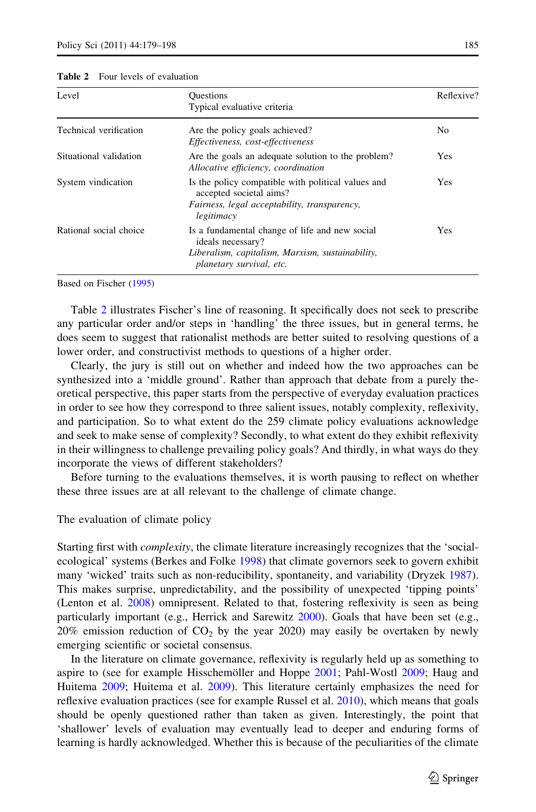| Level                  | <b>Ouestions</b><br>Typical evaluative criteria                                                                                                     | Reflexive?     |
|------------------------|-----------------------------------------------------------------------------------------------------------------------------------------------------|----------------|
| Technical verification | Are the policy goals achieved?<br>Effectiveness, cost-effectiveness                                                                                 | N <sub>0</sub> |
| Situational validation | Are the goals an adequate solution to the problem?<br>Allocative efficiency, coordination                                                           | <b>Yes</b>     |
| System vindication     | Is the policy compatible with political values and<br>accepted societal aims?<br>Fairness, legal acceptability, transparency,<br>legitimacy         | <b>Yes</b>     |
| Rational social choice | Is a fundamental change of life and new social<br>ideals necessary?<br>Liberalism, capitalism, Marxism, sustainability,<br>planetary survival, etc. | <b>Yes</b>     |

<span id="page-7-0"></span>Table 2 Four levels of evaluation

Based on Fischer [\(1995](#page-18-0))

Table 2 illustrates Fischer's line of reasoning. It specifically does not seek to prescribe any particular order and/or steps in 'handling' the three issues, but in general terms, he does seem to suggest that rationalist methods are better suited to resolving questions of a lower order, and constructivist methods to questions of a higher order.

Clearly, the jury is still out on whether and indeed how the two approaches can be synthesized into a 'middle ground'. Rather than approach that debate from a purely theoretical perspective, this paper starts from the perspective of everyday evaluation practices in order to see how they correspond to three salient issues, notably complexity, reflexivity, and participation. So to what extent do the 259 climate policy evaluations acknowledge and seek to make sense of complexity? Secondly, to what extent do they exhibit reflexivity in their willingness to challenge prevailing policy goals? And thirdly, in what ways do they incorporate the views of different stakeholders?

Before turning to the evaluations themselves, it is worth pausing to reflect on whether these three issues are at all relevant to the challenge of climate change.

## The evaluation of climate policy

Starting first with complexity, the climate literature increasingly recognizes that the 'socialecological' systems (Berkes and Folke [1998\)](#page-18-0) that climate governors seek to govern exhibit many 'wicked' traits such as non-reducibility, spontaneity, and variability (Dryzek [1987](#page-18-0)). This makes surprise, unpredictability, and the possibility of unexpected 'tipping points' (Lenton et al. [2008\)](#page-19-0) omnipresent. Related to that, fostering reflexivity is seen as being particularly important (e.g., Herrick and Sarewitz [2000](#page-18-0)). Goals that have been set (e.g., 20% emission reduction of  $CO<sub>2</sub>$  by the year 2020) may easily be overtaken by newly emerging scientific or societal consensus.

In the literature on climate governance, reflexivity is regularly held up as something to aspire to (see for example Hisschemöller and Hoppe [2001](#page-18-0); Pahl-Wostl [2009](#page-19-0); Haug and Huitema [2009;](#page-18-0) Huitema et al. [2009](#page-19-0)). This literature certainly emphasizes the need for reflexive evaluation practices (see for example Russel et al. [2010](#page-19-0)), which means that goals should be openly questioned rather than taken as given. Interestingly, the point that 'shallower' levels of evaluation may eventually lead to deeper and enduring forms of learning is hardly acknowledged. Whether this is because of the peculiarities of the climate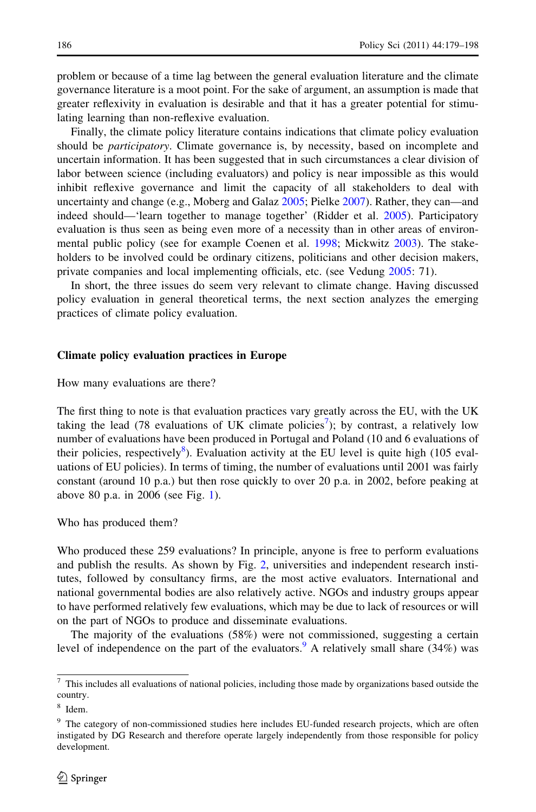problem or because of a time lag between the general evaluation literature and the climate governance literature is a moot point. For the sake of argument, an assumption is made that greater reflexivity in evaluation is desirable and that it has a greater potential for stimulating learning than non-reflexive evaluation.

Finally, the climate policy literature contains indications that climate policy evaluation should be *participatory*. Climate governance is, by necessity, based on incomplete and uncertain information. It has been suggested that in such circumstances a clear division of labor between science (including evaluators) and policy is near impossible as this would inhibit reflexive governance and limit the capacity of all stakeholders to deal with uncertainty and change (e.g., Moberg and Galaz [2005](#page-19-0); Pielke [2007\)](#page-19-0). Rather, they can—and indeed should—'learn together to manage together' (Ridder et al. [2005\)](#page-19-0). Participatory evaluation is thus seen as being even more of a necessity than in other areas of environmental public policy (see for example Coenen et al. [1998;](#page-18-0) Mickwitz [2003](#page-19-0)). The stakeholders to be involved could be ordinary citizens, politicians and other decision makers, private companies and local implementing officials, etc. (see Vedung [2005:](#page-20-0) 71).

In short, the three issues do seem very relevant to climate change. Having discussed policy evaluation in general theoretical terms, the next section analyzes the emerging practices of climate policy evaluation.

#### Climate policy evaluation practices in Europe

How many evaluations are there?

The first thing to note is that evaluation practices vary greatly across the EU, with the UK taking the lead (78 evaluations of UK climate policies<sup>7</sup>); by contrast, a relatively low number of evaluations have been produced in Portugal and Poland (10 and 6 evaluations of their policies, respectively ${}^{8}$ ). Evaluation activity at the EU level is quite high (105 evaluations of EU policies). In terms of timing, the number of evaluations until 2001 was fairly constant (around 10 p.a.) but then rose quickly to over 20 p.a. in 2002, before peaking at above 80 p.a. in 2006 (see Fig. [1\)](#page-9-0).

Who has produced them?

Who produced these 259 evaluations? In principle, anyone is free to perform evaluations and publish the results. As shown by Fig. [2](#page-9-0), universities and independent research institutes, followed by consultancy firms, are the most active evaluators. International and national governmental bodies are also relatively active. NGOs and industry groups appear to have performed relatively few evaluations, which may be due to lack of resources or will on the part of NGOs to produce and disseminate evaluations.

The majority of the evaluations (58%) were not commissioned, suggesting a certain level of independence on the part of the evaluators.<sup>9</sup> A relatively small share (34%) was

<sup>7</sup> This includes all evaluations of national policies, including those made by organizations based outside the country.

<sup>8</sup> Idem.

<sup>&</sup>lt;sup>9</sup> The category of non-commissioned studies here includes EU-funded research projects, which are often instigated by DG Research and therefore operate largely independently from those responsible for policy development.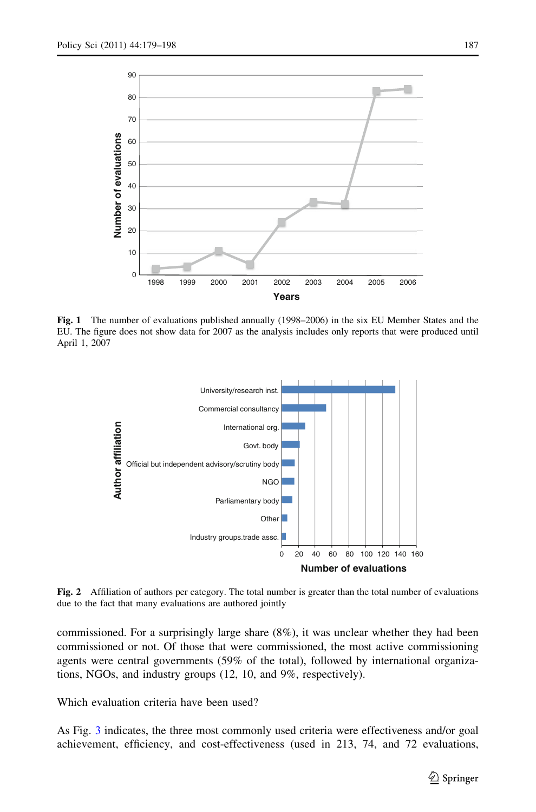<span id="page-9-0"></span>

Fig. 1 The number of evaluations published annually (1998–2006) in the six EU Member States and the EU. The figure does not show data for 2007 as the analysis includes only reports that were produced until April 1, 2007



Fig. 2 Affiliation of authors per category. The total number is greater than the total number of evaluations due to the fact that many evaluations are authored jointly

commissioned. For a surprisingly large share (8%), it was unclear whether they had been commissioned or not. Of those that were commissioned, the most active commissioning agents were central governments (59% of the total), followed by international organizations, NGOs, and industry groups (12, 10, and 9%, respectively).

Which evaluation criteria have been used?

As Fig. [3](#page-10-0) indicates, the three most commonly used criteria were effectiveness and/or goal achievement, efficiency, and cost-effectiveness (used in 213, 74, and 72 evaluations,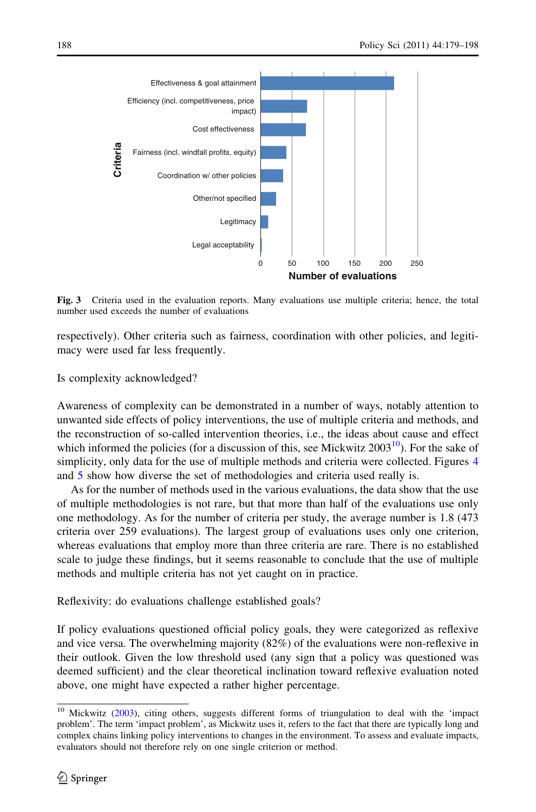<span id="page-10-0"></span>

Fig. 3 Criteria used in the evaluation reports. Many evaluations use multiple criteria; hence, the total number used exceeds the number of evaluations

respectively). Other criteria such as fairness, coordination with other policies, and legitimacy were used far less frequently.

Is complexity acknowledged?

Awareness of complexity can be demonstrated in a number of ways, notably attention to unwanted side effects of policy interventions, the use of multiple criteria and methods, and the reconstruction of so-called intervention theories, i.e., the ideas about cause and effect which informed the policies (for a discussion of this, see Mickwitz  $2003^{10}$ ). For the sake of simplicity, only data for the use of multiple methods and criteria were collected. Figures [4](#page-11-0) and [5](#page-11-0) show how diverse the set of methodologies and criteria used really is.

As for the number of methods used in the various evaluations, the data show that the use of multiple methodologies is not rare, but that more than half of the evaluations use only one methodology. As for the number of criteria per study, the average number is 1.8 (473 criteria over 259 evaluations). The largest group of evaluations uses only one criterion, whereas evaluations that employ more than three criteria are rare. There is no established scale to judge these findings, but it seems reasonable to conclude that the use of multiple methods and multiple criteria has not yet caught on in practice.

Reflexivity: do evaluations challenge established goals?

If policy evaluations questioned official policy goals, they were categorized as reflexive and vice versa. The overwhelming majority (82%) of the evaluations were non-reflexive in their outlook. Given the low threshold used (any sign that a policy was questioned was deemed sufficient) and the clear theoretical inclination toward reflexive evaluation noted above, one might have expected a rather higher percentage.

<sup>&</sup>lt;sup>10</sup> Mickwitz [\(2003\)](#page-19-0), citing others, suggests different forms of triangulation to deal with the 'impact problem'. The term 'impact problem', as Mickwitz uses it, refers to the fact that there are typically long and complex chains linking policy interventions to changes in the environment. To assess and evaluate impacts, evaluators should not therefore rely on one single criterion or method.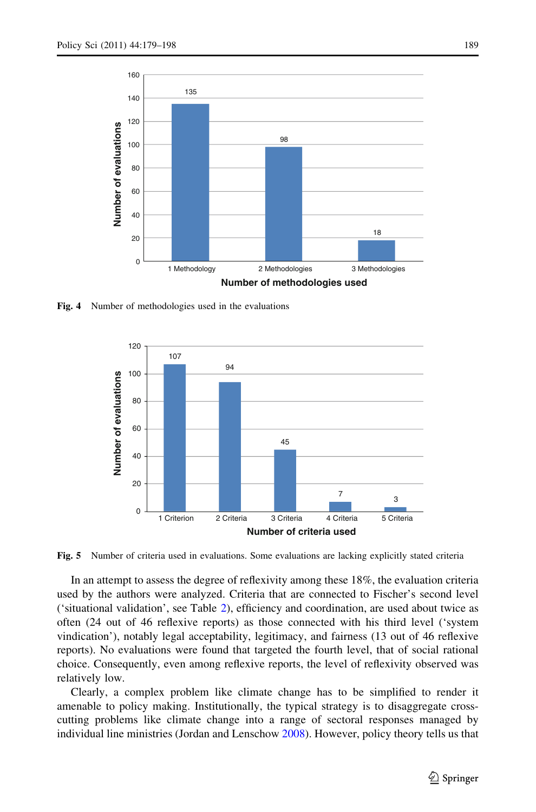<span id="page-11-0"></span>

Fig. 4 Number of methodologies used in the evaluations



Fig. 5 Number of criteria used in evaluations. Some evaluations are lacking explicitly stated criteria

In an attempt to assess the degree of reflexivity among these 18%, the evaluation criteria used by the authors were analyzed. Criteria that are connected to Fischer's second level ('situational validation', see Table [2\)](#page-7-0), efficiency and coordination, are used about twice as often (24 out of 46 reflexive reports) as those connected with his third level ('system vindication'), notably legal acceptability, legitimacy, and fairness (13 out of 46 reflexive reports). No evaluations were found that targeted the fourth level, that of social rational choice. Consequently, even among reflexive reports, the level of reflexivity observed was relatively low.

Clearly, a complex problem like climate change has to be simplified to render it amenable to policy making. Institutionally, the typical strategy is to disaggregate crosscutting problems like climate change into a range of sectoral responses managed by individual line ministries (Jordan and Lenschow [2008](#page-19-0)). However, policy theory tells us that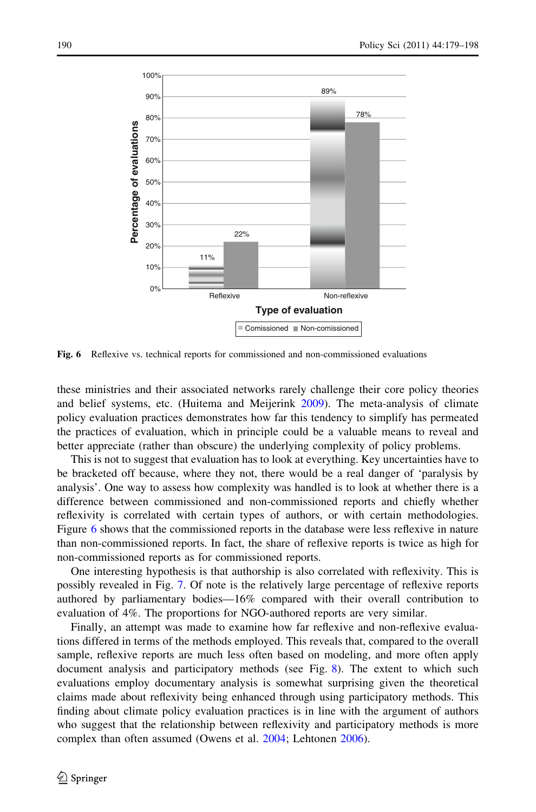

Fig. 6 Reflexive vs. technical reports for commissioned and non-commissioned evaluations

these ministries and their associated networks rarely challenge their core policy theories and belief systems, etc. (Huitema and Meijerink [2009\)](#page-19-0). The meta-analysis of climate policy evaluation practices demonstrates how far this tendency to simplify has permeated the practices of evaluation, which in principle could be a valuable means to reveal and better appreciate (rather than obscure) the underlying complexity of policy problems.

This is not to suggest that evaluation has to look at everything. Key uncertainties have to be bracketed off because, where they not, there would be a real danger of 'paralysis by analysis'. One way to assess how complexity was handled is to look at whether there is a difference between commissioned and non-commissioned reports and chiefly whether reflexivity is correlated with certain types of authors, or with certain methodologies. Figure 6 shows that the commissioned reports in the database were less reflexive in nature than non-commissioned reports. In fact, the share of reflexive reports is twice as high for non-commissioned reports as for commissioned reports.

One interesting hypothesis is that authorship is also correlated with reflexivity. This is possibly revealed in Fig. [7](#page-13-0). Of note is the relatively large percentage of reflexive reports authored by parliamentary bodies—16% compared with their overall contribution to evaluation of 4%. The proportions for NGO-authored reports are very similar.

Finally, an attempt was made to examine how far reflexive and non-reflexive evaluations differed in terms of the methods employed. This reveals that, compared to the overall sample, reflexive reports are much less often based on modeling, and more often apply document analysis and participatory methods (see Fig. [8\)](#page-13-0). The extent to which such evaluations employ documentary analysis is somewhat surprising given the theoretical claims made about reflexivity being enhanced through using participatory methods. This finding about climate policy evaluation practices is in line with the argument of authors who suggest that the relationship between reflexivity and participatory methods is more complex than often assumed (Owens et al. [2004](#page-19-0); Lehtonen [2006](#page-19-0)).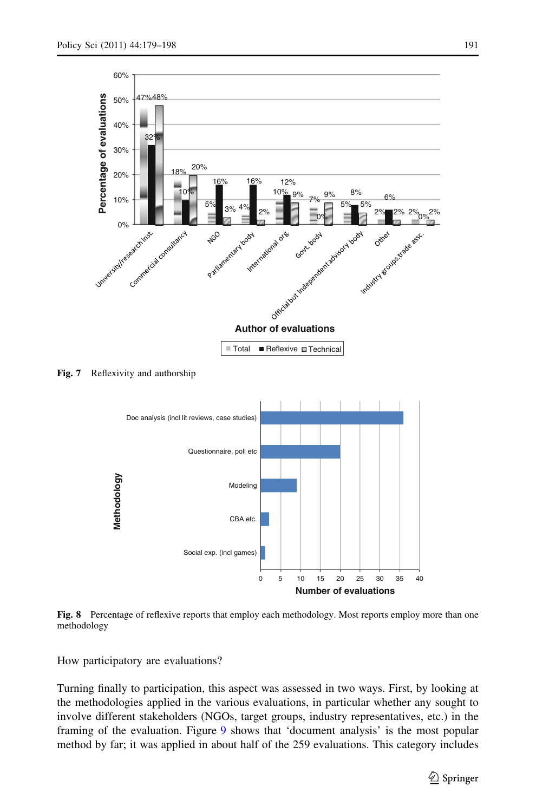<span id="page-13-0"></span>

Fig. 7 Reflexivity and authorship



Fig. 8 Percentage of reflexive reports that employ each methodology. Most reports employ more than one methodology

How participatory are evaluations?

Turning finally to participation, this aspect was assessed in two ways. First, by looking at the methodologies applied in the various evaluations, in particular whether any sought to involve different stakeholders (NGOs, target groups, industry representatives, etc.) in the framing of the evaluation. Figure [9](#page-14-0) shows that 'document analysis' is the most popular method by far; it was applied in about half of the 259 evaluations. This category includes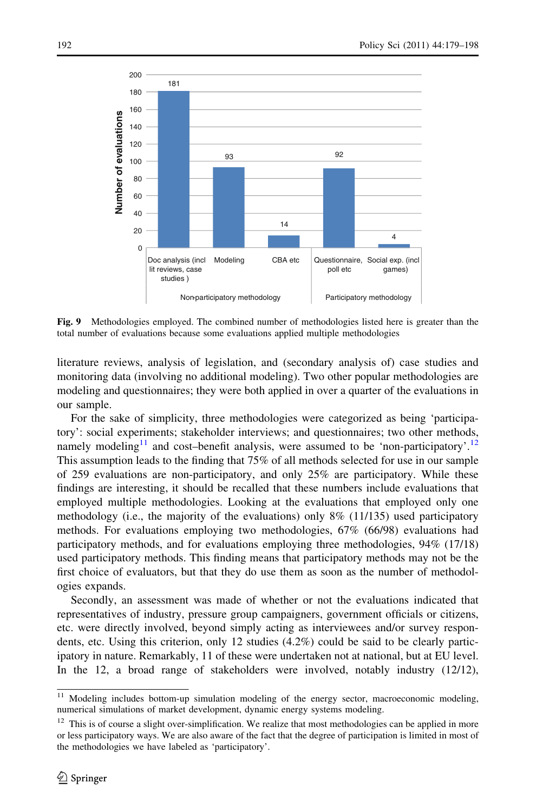<span id="page-14-0"></span>

Fig. 9 Methodologies employed. The combined number of methodologies listed here is greater than the total number of evaluations because some evaluations applied multiple methodologies

literature reviews, analysis of legislation, and (secondary analysis of) case studies and monitoring data (involving no additional modeling). Two other popular methodologies are modeling and questionnaires; they were both applied in over a quarter of the evaluations in our sample.

For the sake of simplicity, three methodologies were categorized as being 'participatory': social experiments; stakeholder interviews; and questionnaires; two other methods, namely modeling<sup>11</sup> and cost–benefit analysis, were assumed to be 'non-participatory'.<sup>12</sup> This assumption leads to the finding that 75% of all methods selected for use in our sample of 259 evaluations are non-participatory, and only 25% are participatory. While these findings are interesting, it should be recalled that these numbers include evaluations that employed multiple methodologies. Looking at the evaluations that employed only one methodology (i.e., the majority of the evaluations) only 8% (11/135) used participatory methods. For evaluations employing two methodologies, 67% (66/98) evaluations had participatory methods, and for evaluations employing three methodologies, 94% (17/18) used participatory methods. This finding means that participatory methods may not be the first choice of evaluators, but that they do use them as soon as the number of methodologies expands.

Secondly, an assessment was made of whether or not the evaluations indicated that representatives of industry, pressure group campaigners, government officials or citizens, etc. were directly involved, beyond simply acting as interviewees and/or survey respondents, etc. Using this criterion, only 12 studies (4.2%) could be said to be clearly participatory in nature. Remarkably, 11 of these were undertaken not at national, but at EU level. In the 12, a broad range of stakeholders were involved, notably industry (12/12),

<sup>&</sup>lt;sup>11</sup> Modeling includes bottom-up simulation modeling of the energy sector, macroeconomic modeling, numerical simulations of market development, dynamic energy systems modeling.

<sup>&</sup>lt;sup>12</sup> This is of course a slight over-simplification. We realize that most methodologies can be applied in more or less participatory ways. We are also aware of the fact that the degree of participation is limited in most of the methodologies we have labeled as 'participatory'.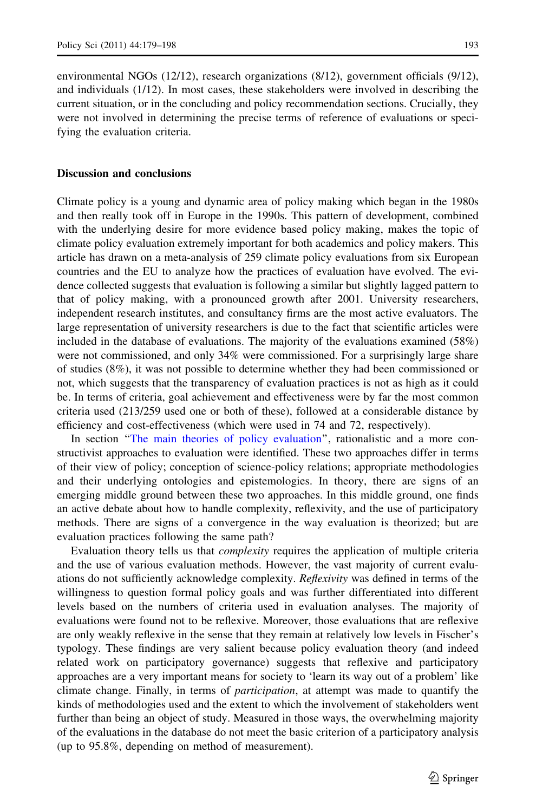environmental NGOs (12/12), research organizations (8/12), government officials (9/12), and individuals (1/12). In most cases, these stakeholders were involved in describing the current situation, or in the concluding and policy recommendation sections. Crucially, they were not involved in determining the precise terms of reference of evaluations or specifying the evaluation criteria.

## Discussion and conclusions

Climate policy is a young and dynamic area of policy making which began in the 1980s and then really took off in Europe in the 1990s. This pattern of development, combined with the underlying desire for more evidence based policy making, makes the topic of climate policy evaluation extremely important for both academics and policy makers. This article has drawn on a meta-analysis of 259 climate policy evaluations from six European countries and the EU to analyze how the practices of evaluation have evolved. The evidence collected suggests that evaluation is following a similar but slightly lagged pattern to that of policy making, with a pronounced growth after 2001. University researchers, independent research institutes, and consultancy firms are the most active evaluators. The large representation of university researchers is due to the fact that scientific articles were included in the database of evaluations. The majority of the evaluations examined (58%) were not commissioned, and only 34% were commissioned. For a surprisingly large share of studies (8%), it was not possible to determine whether they had been commissioned or not, which suggests that the transparency of evaluation practices is not as high as it could be. In terms of criteria, goal achievement and effectiveness were by far the most common criteria used (213/259 used one or both of these), followed at a considerable distance by efficiency and cost-effectiveness (which were used in 74 and 72, respectively).

In section ''[The main theories of policy evaluation'](#page-4-0)', rationalistic and a more constructivist approaches to evaluation were identified. These two approaches differ in terms of their view of policy; conception of science-policy relations; appropriate methodologies and their underlying ontologies and epistemologies. In theory, there are signs of an emerging middle ground between these two approaches. In this middle ground, one finds an active debate about how to handle complexity, reflexivity, and the use of participatory methods. There are signs of a convergence in the way evaluation is theorized; but are evaluation practices following the same path?

Evaluation theory tells us that complexity requires the application of multiple criteria and the use of various evaluation methods. However, the vast majority of current evaluations do not sufficiently acknowledge complexity. Reflexivity was defined in terms of the willingness to question formal policy goals and was further differentiated into different levels based on the numbers of criteria used in evaluation analyses. The majority of evaluations were found not to be reflexive. Moreover, those evaluations that are reflexive are only weakly reflexive in the sense that they remain at relatively low levels in Fischer's typology. These findings are very salient because policy evaluation theory (and indeed related work on participatory governance) suggests that reflexive and participatory approaches are a very important means for society to 'learn its way out of a problem' like climate change. Finally, in terms of *participation*, at attempt was made to quantify the kinds of methodologies used and the extent to which the involvement of stakeholders went further than being an object of study. Measured in those ways, the overwhelming majority of the evaluations in the database do not meet the basic criterion of a participatory analysis (up to 95.8%, depending on method of measurement).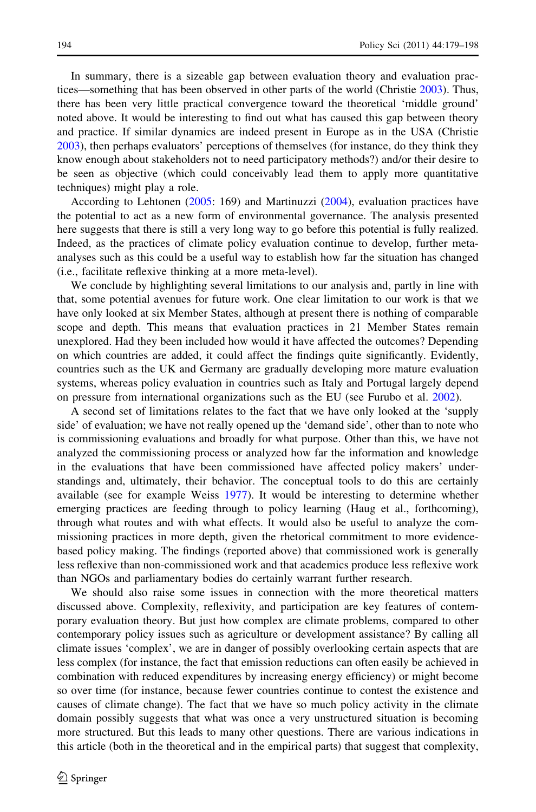In summary, there is a sizeable gap between evaluation theory and evaluation practices—something that has been observed in other parts of the world (Christie [2003](#page-18-0)). Thus, there has been very little practical convergence toward the theoretical 'middle ground' noted above. It would be interesting to find out what has caused this gap between theory and practice. If similar dynamics are indeed present in Europe as in the USA (Christie [2003\)](#page-18-0), then perhaps evaluators' perceptions of themselves (for instance, do they think they know enough about stakeholders not to need participatory methods?) and/or their desire to be seen as objective (which could conceivably lead them to apply more quantitative techniques) might play a role.

According to Lehtonen ([2005:](#page-19-0) 169) and Martinuzzi [\(2004](#page-19-0)), evaluation practices have the potential to act as a new form of environmental governance. The analysis presented here suggests that there is still a very long way to go before this potential is fully realized. Indeed, as the practices of climate policy evaluation continue to develop, further metaanalyses such as this could be a useful way to establish how far the situation has changed (i.e., facilitate reflexive thinking at a more meta-level).

We conclude by highlighting several limitations to our analysis and, partly in line with that, some potential avenues for future work. One clear limitation to our work is that we have only looked at six Member States, although at present there is nothing of comparable scope and depth. This means that evaluation practices in 21 Member States remain unexplored. Had they been included how would it have affected the outcomes? Depending on which countries are added, it could affect the findings quite significantly. Evidently, countries such as the UK and Germany are gradually developing more mature evaluation systems, whereas policy evaluation in countries such as Italy and Portugal largely depend on pressure from international organizations such as the EU (see Furubo et al. [2002\)](#page-18-0).

A second set of limitations relates to the fact that we have only looked at the 'supply side' of evaluation; we have not really opened up the 'demand side', other than to note who is commissioning evaluations and broadly for what purpose. Other than this, we have not analyzed the commissioning process or analyzed how far the information and knowledge in the evaluations that have been commissioned have affected policy makers' understandings and, ultimately, their behavior. The conceptual tools to do this are certainly available (see for example Weiss [1977\)](#page-20-0). It would be interesting to determine whether emerging practices are feeding through to policy learning (Haug et al., forthcoming), through what routes and with what effects. It would also be useful to analyze the commissioning practices in more depth, given the rhetorical commitment to more evidencebased policy making. The findings (reported above) that commissioned work is generally less reflexive than non-commissioned work and that academics produce less reflexive work than NGOs and parliamentary bodies do certainly warrant further research.

We should also raise some issues in connection with the more theoretical matters discussed above. Complexity, reflexivity, and participation are key features of contemporary evaluation theory. But just how complex are climate problems, compared to other contemporary policy issues such as agriculture or development assistance? By calling all climate issues 'complex', we are in danger of possibly overlooking certain aspects that are less complex (for instance, the fact that emission reductions can often easily be achieved in combination with reduced expenditures by increasing energy efficiency) or might become so over time (for instance, because fewer countries continue to contest the existence and causes of climate change). The fact that we have so much policy activity in the climate domain possibly suggests that what was once a very unstructured situation is becoming more structured. But this leads to many other questions. There are various indications in this article (both in the theoretical and in the empirical parts) that suggest that complexity,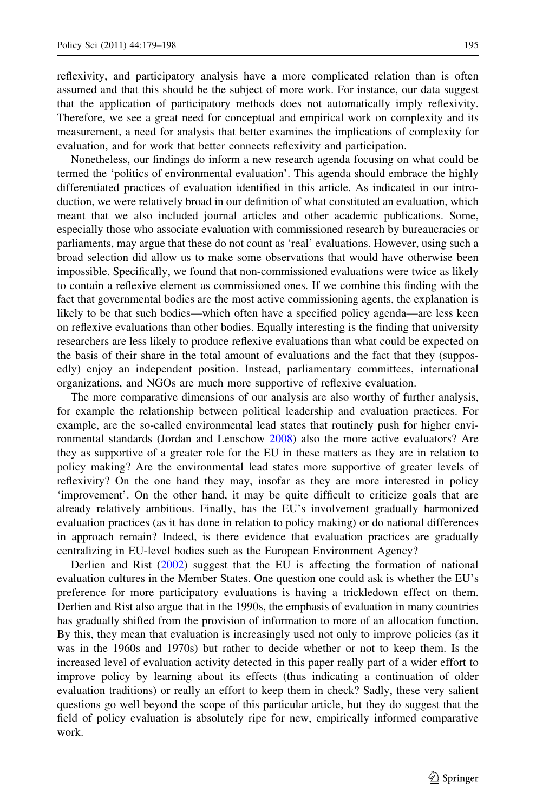reflexivity, and participatory analysis have a more complicated relation than is often assumed and that this should be the subject of more work. For instance, our data suggest that the application of participatory methods does not automatically imply reflexivity. Therefore, we see a great need for conceptual and empirical work on complexity and its measurement, a need for analysis that better examines the implications of complexity for evaluation, and for work that better connects reflexivity and participation.

Nonetheless, our findings do inform a new research agenda focusing on what could be termed the 'politics of environmental evaluation'. This agenda should embrace the highly differentiated practices of evaluation identified in this article. As indicated in our introduction, we were relatively broad in our definition of what constituted an evaluation, which meant that we also included journal articles and other academic publications. Some, especially those who associate evaluation with commissioned research by bureaucracies or parliaments, may argue that these do not count as 'real' evaluations. However, using such a broad selection did allow us to make some observations that would have otherwise been impossible. Specifically, we found that non-commissioned evaluations were twice as likely to contain a reflexive element as commissioned ones. If we combine this finding with the fact that governmental bodies are the most active commissioning agents, the explanation is likely to be that such bodies—which often have a specified policy agenda—are less keen on reflexive evaluations than other bodies. Equally interesting is the finding that university researchers are less likely to produce reflexive evaluations than what could be expected on the basis of their share in the total amount of evaluations and the fact that they (supposedly) enjoy an independent position. Instead, parliamentary committees, international organizations, and NGOs are much more supportive of reflexive evaluation.

The more comparative dimensions of our analysis are also worthy of further analysis, for example the relationship between political leadership and evaluation practices. For example, are the so-called environmental lead states that routinely push for higher environmental standards (Jordan and Lenschow [2008\)](#page-19-0) also the more active evaluators? Are they as supportive of a greater role for the EU in these matters as they are in relation to policy making? Are the environmental lead states more supportive of greater levels of reflexivity? On the one hand they may, insofar as they are more interested in policy 'improvement'. On the other hand, it may be quite difficult to criticize goals that are already relatively ambitious. Finally, has the EU's involvement gradually harmonized evaluation practices (as it has done in relation to policy making) or do national differences in approach remain? Indeed, is there evidence that evaluation practices are gradually centralizing in EU-level bodies such as the European Environment Agency?

Derlien and Rist ([2002\)](#page-18-0) suggest that the EU is affecting the formation of national evaluation cultures in the Member States. One question one could ask is whether the EU's preference for more participatory evaluations is having a trickledown effect on them. Derlien and Rist also argue that in the 1990s, the emphasis of evaluation in many countries has gradually shifted from the provision of information to more of an allocation function. By this, they mean that evaluation is increasingly used not only to improve policies (as it was in the 1960s and 1970s) but rather to decide whether or not to keep them. Is the increased level of evaluation activity detected in this paper really part of a wider effort to improve policy by learning about its effects (thus indicating a continuation of older evaluation traditions) or really an effort to keep them in check? Sadly, these very salient questions go well beyond the scope of this particular article, but they do suggest that the field of policy evaluation is absolutely ripe for new, empirically informed comparative work.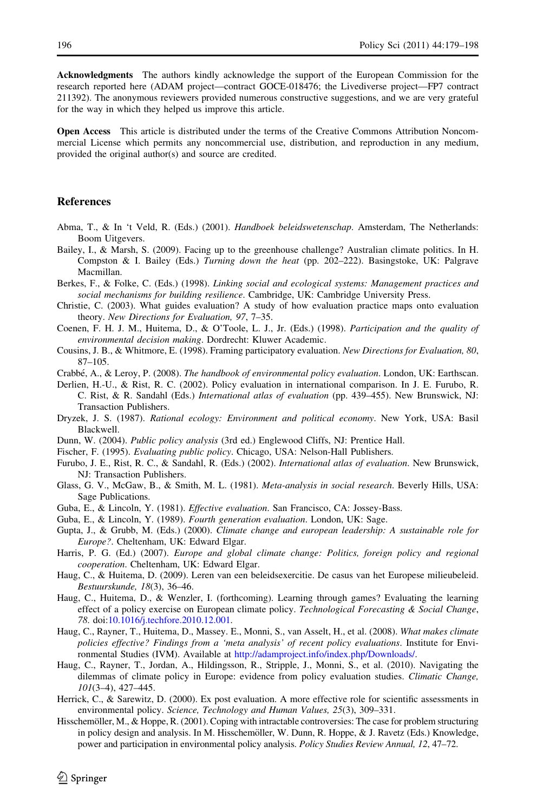<span id="page-18-0"></span>Acknowledgments The authors kindly acknowledge the support of the European Commission for the research reported here (ADAM project—contract GOCE-018476; the Livediverse project—FP7 contract 211392). The anonymous reviewers provided numerous constructive suggestions, and we are very grateful for the way in which they helped us improve this article.

Open Access This article is distributed under the terms of the Creative Commons Attribution Noncommercial License which permits any noncommercial use, distribution, and reproduction in any medium, provided the original author(s) and source are credited.

## References

- Abma, T., & In 't Veld, R. (Eds.) (2001). Handboek beleidswetenschap. Amsterdam, The Netherlands: Boom Uitgevers.
- Bailey, I., & Marsh, S. (2009). Facing up to the greenhouse challenge? Australian climate politics. In H. Compston & I. Bailey (Eds.) Turning down the heat (pp. 202–222). Basingstoke, UK: Palgrave Macmillan.
- Berkes, F., & Folke, C. (Eds.) (1998). Linking social and ecological systems: Management practices and social mechanisms for building resilience. Cambridge, UK: Cambridge University Press.
- Christie, C. (2003). What guides evaluation? A study of how evaluation practice maps onto evaluation theory. New Directions for Evaluation, 97, 7–35.
- Coenen, F. H. J. M., Huitema, D., & O'Toole, L. J., Jr. (Eds.) (1998). Participation and the quality of environmental decision making. Dordrecht: Kluwer Academic.
- Cousins, J. B., & Whitmore, E. (1998). Framing participatory evaluation. New Directions for Evaluation, 80, 87–105.
- Crabbé, A., & Leroy, P. (2008). The handbook of environmental policy evaluation. London, UK: Earthscan.
- Derlien, H.-U., & Rist, R. C. (2002). Policy evaluation in international comparison. In J. E. Furubo, R. C. Rist, & R. Sandahl (Eds.) International atlas of evaluation (pp. 439–455). New Brunswick, NJ: Transaction Publishers.
- Dryzek, J. S. (1987). Rational ecology: Environment and political economy. New York, USA: Basil Blackwell.
- Dunn, W. (2004). Public policy analysis (3rd ed.) Englewood Cliffs, NJ: Prentice Hall.
- Fischer, F. (1995). Evaluating public policy. Chicago, USA: Nelson-Hall Publishers.
- Furubo, J. E., Rist, R. C., & Sandahl, R. (Eds.) (2002). *International atlas of evaluation*. New Brunswick, NJ: Transaction Publishers.
- Glass, G. V., McGaw, B., & Smith, M. L. (1981). Meta-analysis in social research. Beverly Hills, USA: Sage Publications.
- Guba, E., & Lincoln, Y. (1981). *Effective evaluation*. San Francisco, CA: Jossey-Bass.
- Guba, E., & Lincoln, Y. (1989). Fourth generation evaluation. London, UK: Sage.
- Gupta, J., & Grubb, M. (Eds.) (2000). Climate change and european leadership: A sustainable role for Europe?. Cheltenham, UK: Edward Elgar.
- Harris, P. G. (Ed.) (2007). Europe and global climate change: Politics, foreign policy and regional cooperation. Cheltenham, UK: Edward Elgar.
- Haug, C., & Huitema, D. (2009). Leren van een beleidsexercitie. De casus van het Europese milieubeleid. Bestuurskunde, 18(3), 36–46.
- Haug, C., Huitema, D., & Wenzler, I. (forthcoming). Learning through games? Evaluating the learning effect of a policy exercise on European climate policy. Technological Forecasting & Social Change, 78. doi:[10.1016/j.techfore.2010.12.001.](http://dx.doi.org/10.1016/j.techfore.2010.12.001)
- Haug, C., Rayner, T., Huitema, D., Massey. E., Monni, S., van Asselt, H., et al. (2008). What makes climate policies effective? Findings from a 'meta analysis' of recent policy evaluations. Institute for Environmental Studies (IVM). Available at <http://adamproject.info/index.php/Downloads/>.
- Haug, C., Rayner, T., Jordan, A., Hildingsson, R., Stripple, J., Monni, S., et al. (2010). Navigating the dilemmas of climate policy in Europe: evidence from policy evaluation studies. Climatic Change, 101(3–4), 427–445.
- Herrick, C., & Sarewitz, D. (2000). Ex post evaluation. A more effective role for scientific assessments in environmental policy. Science, Technology and Human Values, 25(3), 309–331.
- Hisschemöller, M., & Hoppe, R. (2001). Coping with intractable controversies: The case for problem structuring in policy design and analysis. In M. Hisschemöller, W. Dunn, R. Hoppe, & J. Ravetz (Eds.) Knowledge, power and participation in environmental policy analysis. Policy Studies Review Annual, 12, 47–72.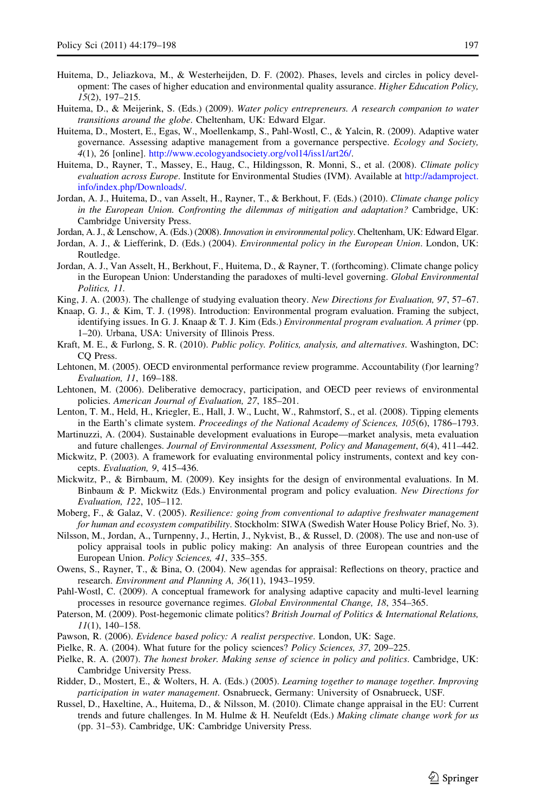- <span id="page-19-0"></span>Huitema, D., Jeliazkova, M., & Westerheijden, D. F. (2002). Phases, levels and circles in policy development: The cases of higher education and environmental quality assurance. Higher Education Policy, 15(2), 197–215.
- Huitema, D., & Meijerink, S. (Eds.) (2009). Water policy entrepreneurs. A research companion to water transitions around the globe. Cheltenham, UK: Edward Elgar.
- Huitema, D., Mostert, E., Egas, W., Moellenkamp, S., Pahl-Wostl, C., & Yalcin, R. (2009). Adaptive water governance. Assessing adaptive management from a governance perspective. Ecology and Society, 4(1), 26 [online]. <http://www.ecologyandsociety.org/vol14/iss1/art26/>.
- Huitema, D., Rayner, T., Massey, E., Haug, C., Hildingsson, R. Monni, S., et al. (2008). Climate policy evaluation across Europe. Institute for Environmental Studies (IVM). Available at [http://adamproject.](http://adamproject.info/index.php/Downloads/) [info/index.php/Downloads/](http://adamproject.info/index.php/Downloads/).
- Jordan, A. J., Huitema, D., van Asselt, H., Rayner, T., & Berkhout, F. (Eds.) (2010). Climate change policy in the European Union. Confronting the dilemmas of mitigation and adaptation? Cambridge, UK: Cambridge University Press.
- Jordan, A. J., & Lenschow, A. (Eds.) (2008). Innovation in environmental policy. Cheltenham, UK: Edward Elgar.
- Jordan, A. J., & Liefferink, D. (Eds.) (2004). Environmental policy in the European Union. London, UK: Routledge.
- Jordan, A. J., Van Asselt, H., Berkhout, F., Huitema, D., & Rayner, T. (forthcoming). Climate change policy in the European Union: Understanding the paradoxes of multi-level governing. Global Environmental Politics, 11.
- King, J. A. (2003). The challenge of studying evaluation theory. New Directions for Evaluation, 97, 57–67.
- Knaap, G. J., & Kim, T. J. (1998). Introduction: Environmental program evaluation. Framing the subject, identifying issues. In G. J. Knaap & T. J. Kim (Eds.) *Environmental program evaluation. A primer* (pp. 1–20). Urbana, USA: University of Illinois Press.
- Kraft, M. E., & Furlong, S. R. (2010). Public policy. Politics, analysis, and alternatives. Washington, DC: CQ Press.
- Lehtonen, M. (2005). OECD environmental performance review programme. Accountability (f)or learning? Evaluation, 11, 169–188.
- Lehtonen, M. (2006). Deliberative democracy, participation, and OECD peer reviews of environmental policies. American Journal of Evaluation, 27, 185–201.
- Lenton, T. M., Held, H., Kriegler, E., Hall, J. W., Lucht, W., Rahmstorf, S., et al. (2008). Tipping elements in the Earth's climate system. Proceedings of the National Academy of Sciences, 105(6), 1786–1793.
- Martinuzzi, A. (2004). Sustainable development evaluations in Europe—market analysis, meta evaluation and future challenges. Journal of Environmental Assessment, Policy and Management, 6(4), 411–442.
- Mickwitz, P. (2003). A framework for evaluating environmental policy instruments, context and key concepts. Evaluation, 9, 415–436.
- Mickwitz, P., & Birnbaum, M. (2009). Key insights for the design of environmental evaluations. In M. Binbaum & P. Mickwitz (Eds.) Environmental program and policy evaluation. New Directions for Evaluation, 122, 105–112.
- Moberg, F., & Galaz, V. (2005). Resilience: going from conventional to adaptive freshwater management for human and ecosystem compatibility. Stockholm: SIWA (Swedish Water House Policy Brief, No. 3).
- Nilsson, M., Jordan, A., Turnpenny, J., Hertin, J., Nykvist, B., & Russel, D. (2008). The use and non-use of policy appraisal tools in public policy making: An analysis of three European countries and the European Union. Policy Sciences, 41, 335–355.
- Owens, S., Rayner, T., & Bina, O. (2004). New agendas for appraisal: Reflections on theory, practice and research. Environment and Planning A, 36(11), 1943–1959.
- Pahl-Wostl, C. (2009). A conceptual framework for analysing adaptive capacity and multi-level learning processes in resource governance regimes. Global Environmental Change, 18, 354–365.
- Paterson, M. (2009). Post-hegemonic climate politics? British Journal of Politics & International Relations, 11(1), 140–158.
- Pawson, R. (2006). Evidence based policy: A realist perspective. London, UK: Sage.
- Pielke, R. A. (2004). What future for the policy sciences? *Policy Sciences*, 37, 209–225.
- Pielke, R. A. (2007). The honest broker. Making sense of science in policy and politics. Cambridge, UK: Cambridge University Press.
- Ridder, D., Mostert, E., & Wolters, H. A. (Eds.) (2005). Learning together to manage together. Improving participation in water management. Osnabrueck, Germany: University of Osnabrueck, USF.
- Russel, D., Haxeltine, A., Huitema, D., & Nilsson, M. (2010). Climate change appraisal in the EU: Current trends and future challenges. In M. Hulme & H. Neufeldt (Eds.) Making climate change work for us (pp. 31–53). Cambridge, UK: Cambridge University Press.